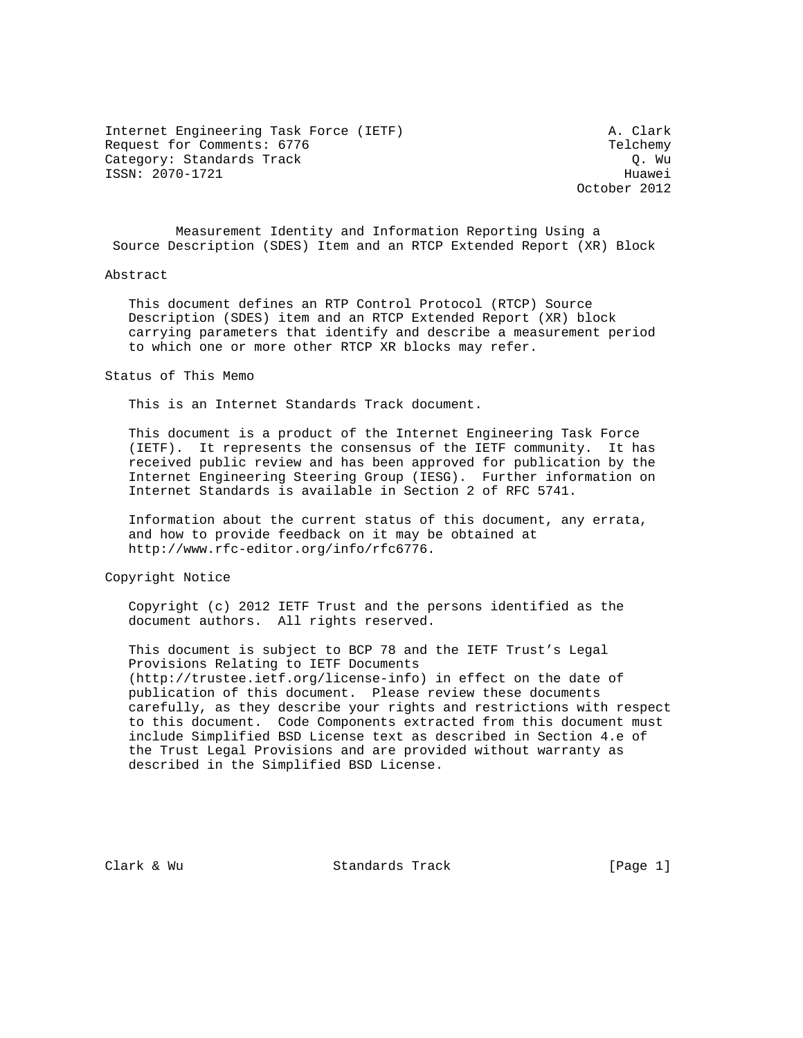Internet Engineering Task Force (IETF) A. Clark Request for Comments: 6776 Telchemy Category: Standards Track Category: Standards Track ISSN: 2070-1721 Huawei

October 2012

 Measurement Identity and Information Reporting Using a Source Description (SDES) Item and an RTCP Extended Report (XR) Block

#### Abstract

 This document defines an RTP Control Protocol (RTCP) Source Description (SDES) item and an RTCP Extended Report (XR) block carrying parameters that identify and describe a measurement period to which one or more other RTCP XR blocks may refer.

Status of This Memo

This is an Internet Standards Track document.

 This document is a product of the Internet Engineering Task Force (IETF). It represents the consensus of the IETF community. It has received public review and has been approved for publication by the Internet Engineering Steering Group (IESG). Further information on Internet Standards is available in Section 2 of RFC 5741.

 Information about the current status of this document, any errata, and how to provide feedback on it may be obtained at http://www.rfc-editor.org/info/rfc6776.

Copyright Notice

 Copyright (c) 2012 IETF Trust and the persons identified as the document authors. All rights reserved.

 This document is subject to BCP 78 and the IETF Trust's Legal Provisions Relating to IETF Documents (http://trustee.ietf.org/license-info) in effect on the date of publication of this document. Please review these documents carefully, as they describe your rights and restrictions with respect to this document. Code Components extracted from this document must include Simplified BSD License text as described in Section 4.e of the Trust Legal Provisions and are provided without warranty as described in the Simplified BSD License.

Clark & Wu Standards Track [Page 1]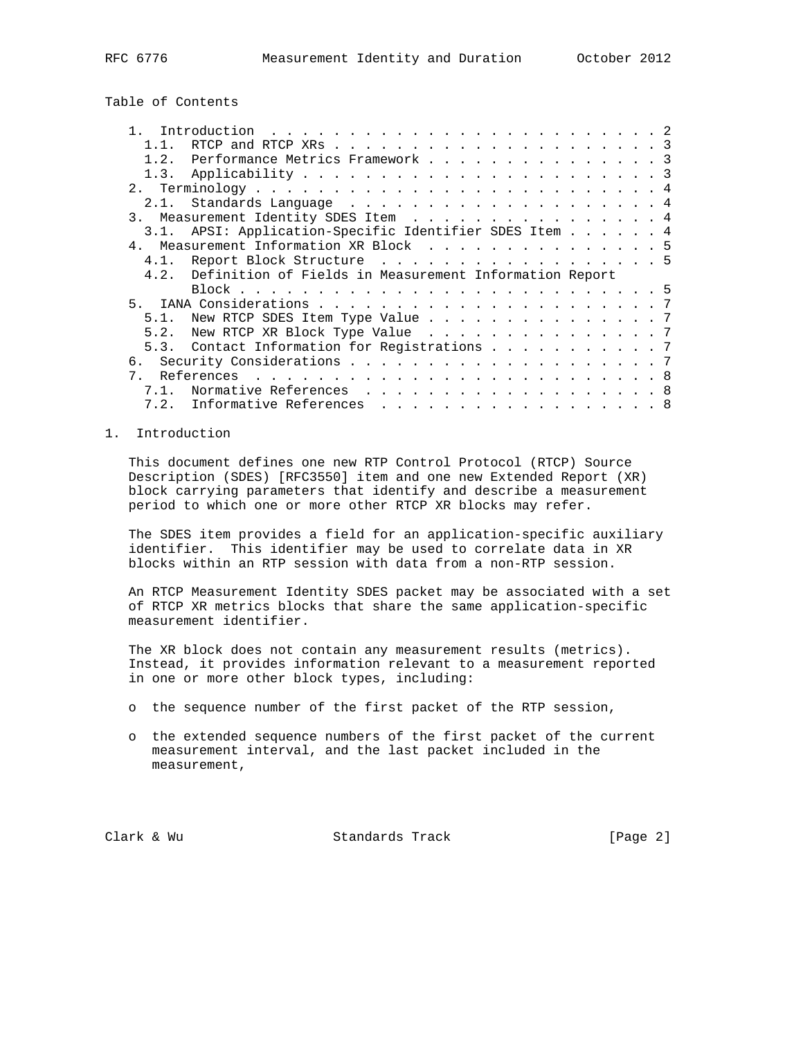# Table of Contents

|      | RTCP and RTCP XRs $\ldots$ 3                                                   |  |  |  |
|------|--------------------------------------------------------------------------------|--|--|--|
| 1.2. | Performance Metrics Framework 3                                                |  |  |  |
|      |                                                                                |  |  |  |
|      |                                                                                |  |  |  |
|      |                                                                                |  |  |  |
| 3.   | Measurement Identity SDES Item 4                                               |  |  |  |
|      | 3.1. APSI: Application-Specific Identifier SDES Item 4                         |  |  |  |
|      | 4. Measurement Information XR Block 5                                          |  |  |  |
|      | 4.1. Report Block Structure 5                                                  |  |  |  |
|      |                                                                                |  |  |  |
|      | 4.2. Definition of Fields in Measurement Information Report                    |  |  |  |
|      |                                                                                |  |  |  |
|      |                                                                                |  |  |  |
| 5.1. | New RTCP SDES Item Type Value 7                                                |  |  |  |
| 5.2. |                                                                                |  |  |  |
|      | New RTCP XR Block Type Value 7<br>5.3. Contact Information for Registrations 7 |  |  |  |
|      |                                                                                |  |  |  |
|      |                                                                                |  |  |  |
| 7.1. | Normative References 8                                                         |  |  |  |

#### 1. Introduction

 This document defines one new RTP Control Protocol (RTCP) Source Description (SDES) [RFC3550] item and one new Extended Report (XR) block carrying parameters that identify and describe a measurement period to which one or more other RTCP XR blocks may refer.

 The SDES item provides a field for an application-specific auxiliary identifier. This identifier may be used to correlate data in XR blocks within an RTP session with data from a non-RTP session.

 An RTCP Measurement Identity SDES packet may be associated with a set of RTCP XR metrics blocks that share the same application-specific measurement identifier.

 The XR block does not contain any measurement results (metrics). Instead, it provides information relevant to a measurement reported in one or more other block types, including:

- o the sequence number of the first packet of the RTP session,
- o the extended sequence numbers of the first packet of the current measurement interval, and the last packet included in the measurement,

Clark & Wu **Standards Track** [Page 2]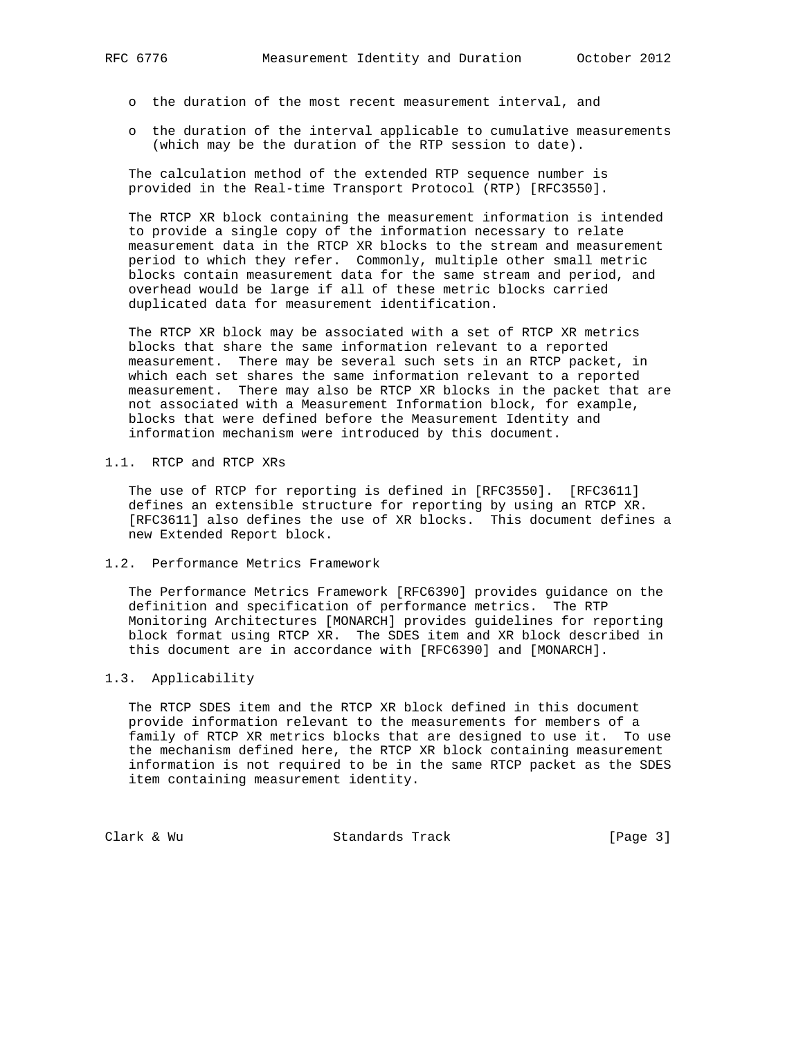- - o the duration of the most recent measurement interval, and
	- o the duration of the interval applicable to cumulative measurements (which may be the duration of the RTP session to date).

 The calculation method of the extended RTP sequence number is provided in the Real-time Transport Protocol (RTP) [RFC3550].

 The RTCP XR block containing the measurement information is intended to provide a single copy of the information necessary to relate measurement data in the RTCP XR blocks to the stream and measurement period to which they refer. Commonly, multiple other small metric blocks contain measurement data for the same stream and period, and overhead would be large if all of these metric blocks carried duplicated data for measurement identification.

 The RTCP XR block may be associated with a set of RTCP XR metrics blocks that share the same information relevant to a reported measurement. There may be several such sets in an RTCP packet, in which each set shares the same information relevant to a reported measurement. There may also be RTCP XR blocks in the packet that are not associated with a Measurement Information block, for example, blocks that were defined before the Measurement Identity and information mechanism were introduced by this document.

#### 1.1. RTCP and RTCP XRs

 The use of RTCP for reporting is defined in [RFC3550]. [RFC3611] defines an extensible structure for reporting by using an RTCP XR. [RFC3611] also defines the use of XR blocks. This document defines a new Extended Report block.

#### 1.2. Performance Metrics Framework

 The Performance Metrics Framework [RFC6390] provides guidance on the definition and specification of performance metrics. The RTP Monitoring Architectures [MONARCH] provides guidelines for reporting block format using RTCP XR. The SDES item and XR block described in this document are in accordance with [RFC6390] and [MONARCH].

## 1.3. Applicability

 The RTCP SDES item and the RTCP XR block defined in this document provide information relevant to the measurements for members of a family of RTCP XR metrics blocks that are designed to use it. To use the mechanism defined here, the RTCP XR block containing measurement information is not required to be in the same RTCP packet as the SDES item containing measurement identity.

Clark & Wu Standards Track [Page 3]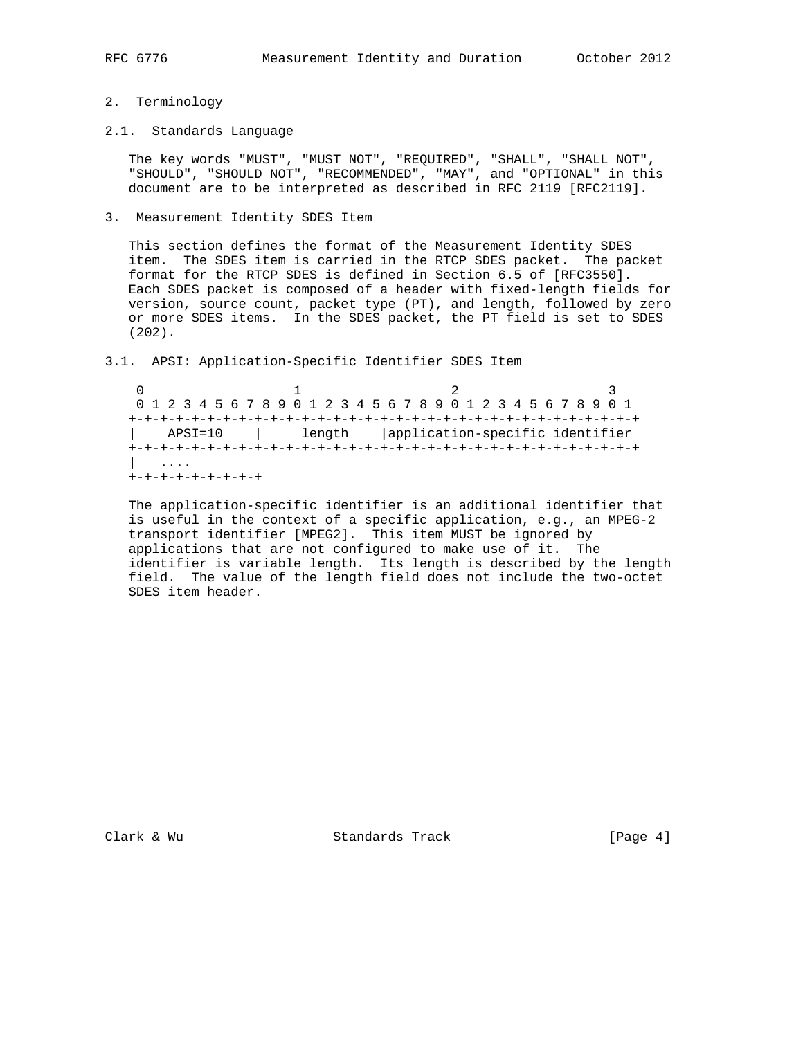#### 2. Terminology

### 2.1. Standards Language

 The key words "MUST", "MUST NOT", "REQUIRED", "SHALL", "SHALL NOT", "SHOULD", "SHOULD NOT", "RECOMMENDED", "MAY", and "OPTIONAL" in this document are to be interpreted as described in RFC 2119 [RFC2119].

#### 3. Measurement Identity SDES Item

 This section defines the format of the Measurement Identity SDES item. The SDES item is carried in the RTCP SDES packet. The packet format for the RTCP SDES is defined in Section 6.5 of [RFC3550]. Each SDES packet is composed of a header with fixed-length fields for version, source count, packet type (PT), and length, followed by zero or more SDES items. In the SDES packet, the PT field is set to SDES (202).

## 3.1. APSI: Application-Specific Identifier SDES Item

0  $1$  2 3 0 1 2 3 4 5 6 7 8 9 0 1 2 3 4 5 6 7 8 9 0 1 2 3 4 5 6 7 8 9 0 1 +-+-+-+-+-+-+-+-+-+-+-+-+-+-+-+-+-+-+-+-+-+-+-+-+-+-+-+-+-+-+-+-+ | APSI=10 | length |application-specific identifier +-+-+-+-+-+-+-+-+-+-+-+-+-+-+-+-+-+-+-+-+-+-+-+-+-+-+-+-+-+-+-+-+ | .... +-+-+-+-+-+-+-+-+

 The application-specific identifier is an additional identifier that is useful in the context of a specific application, e.g., an MPEG-2 transport identifier [MPEG2]. This item MUST be ignored by applications that are not configured to make use of it. The identifier is variable length. Its length is described by the length field. The value of the length field does not include the two-octet SDES item header.

Clark & Wu Standards Track [Page 4]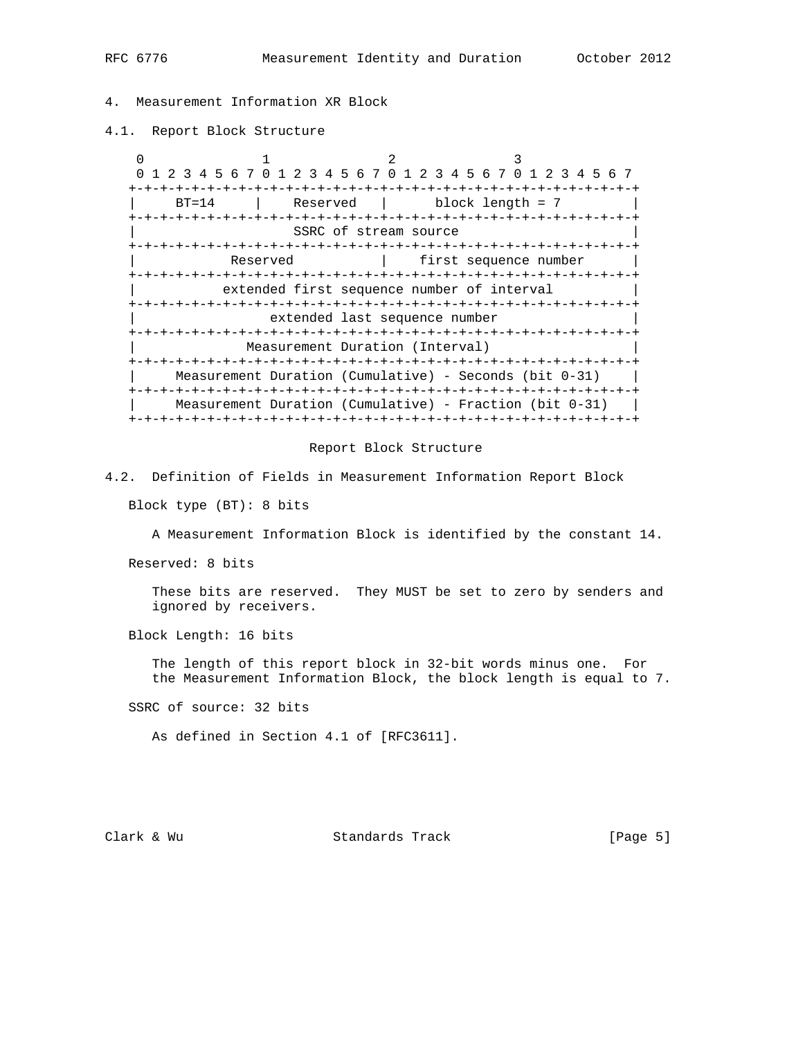# 4. Measurement Information XR Block

4.1. Report Block Structure

 $0$  1 2 3 0 1 2 3 4 5 6 7 0 1 2 3 4 5 6 7 0 1 2 3 4 5 6 7 0 1 2 3 4 5 6 7 +-+-+-+-+-+-+-+-+-+-+-+-+-+-+-+-+-+-+-+-+-+-+-+-+-+-+-+-+-+-+-+-+  $\text{Reserved}$  | block length = 7 +-+-+-+-+-+-+-+-+-+-+-+-+-+-+-+-+-+-+-+-+-+-+-+-+-+-+-+-+-+-+-+-+ SSRC of stream source +-+-+-+-+-+-+-+-+-+-+-+-+-+-+-+-+-+-+-+-+-+-+-+-+-+-+-+-+-+-+-+-+ Reserved | first sequence number +-+-+-+-+-+-+-+-+-+-+-+-+-+-+-+-+-+-+-+-+-+-+-+-+-+-+-+-+-+-+-+-+ extended first sequence number of interval +-+-+-+-+-+-+-+-+-+-+-+-+-+-+-+-+-+-+-+-+-+-+-+-+-+-+-+-+-+-+-+-+ extended last sequence number +-+-+-+-+-+-+-+-+-+-+-+-+-+-+-+-+-+-+-+-+-+-+-+-+-+-+-+-+-+-+-+-+ Measurement Duration (Interval) +-+-+-+-+-+-+-+-+-+-+-+-+-+-+-+-+-+-+-+-+-+-+-+-+-+-+-+-+-+-+-+-+ | Measurement Duration (Cumulative) - Seconds (bit 0-31) | +-+-+-+-+-+-+-+-+-+-+-+-+-+-+-+-+-+-+-+-+-+-+-+-+-+-+-+-+-+-+-+-+ Measurement Duration (Cumulative) - Fraction (bit  $0-31$ ) | +-+-+-+-+-+-+-+-+-+-+-+-+-+-+-+-+-+-+-+-+-+-+-+-+-+-+-+-+-+-+-+-+

#### Report Block Structure

4.2. Definition of Fields in Measurement Information Report Block

Block type (BT): 8 bits

A Measurement Information Block is identified by the constant 14.

Reserved: 8 bits

 These bits are reserved. They MUST be set to zero by senders and ignored by receivers.

Block Length: 16 bits

 The length of this report block in 32-bit words minus one. For the Measurement Information Block, the block length is equal to 7.

SSRC of source: 32 bits

As defined in Section 4.1 of [RFC3611].

Clark & Wu Standards Track [Page 5]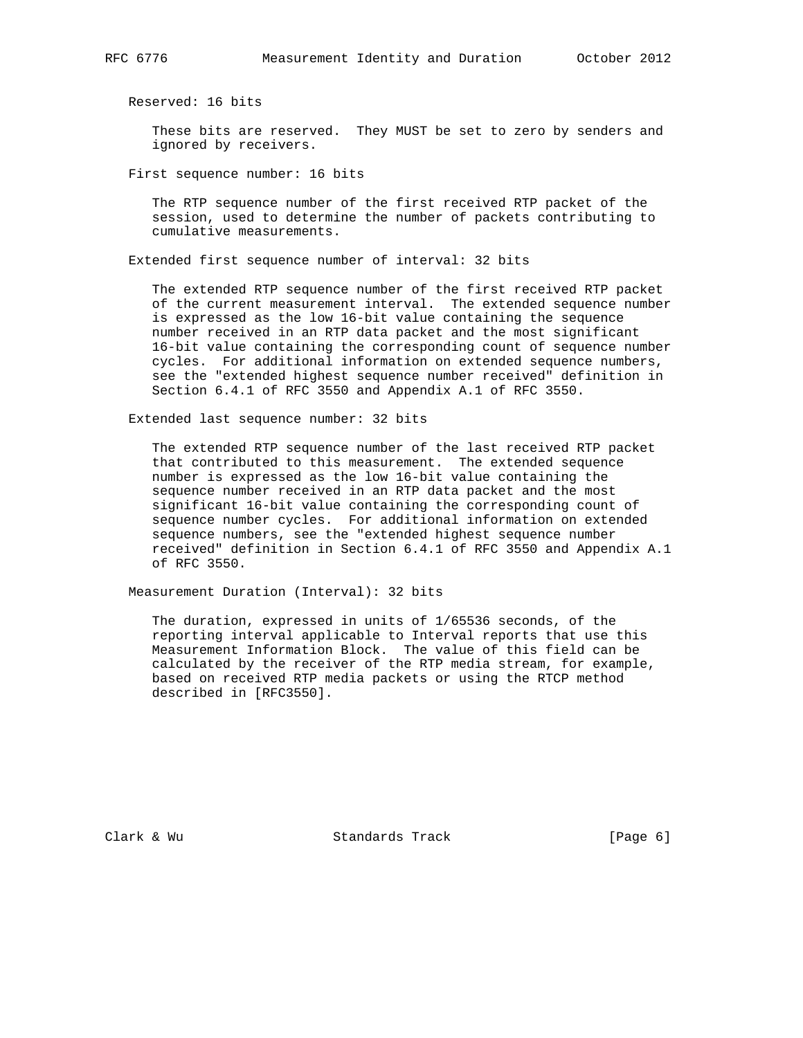Reserved: 16 bits

 These bits are reserved. They MUST be set to zero by senders and ignored by receivers.

First sequence number: 16 bits

 The RTP sequence number of the first received RTP packet of the session, used to determine the number of packets contributing to cumulative measurements.

Extended first sequence number of interval: 32 bits

 The extended RTP sequence number of the first received RTP packet of the current measurement interval. The extended sequence number is expressed as the low 16-bit value containing the sequence number received in an RTP data packet and the most significant 16-bit value containing the corresponding count of sequence number cycles. For additional information on extended sequence numbers, see the "extended highest sequence number received" definition in Section 6.4.1 of RFC 3550 and Appendix A.1 of RFC 3550.

Extended last sequence number: 32 bits

 The extended RTP sequence number of the last received RTP packet that contributed to this measurement. The extended sequence number is expressed as the low 16-bit value containing the sequence number received in an RTP data packet and the most significant 16-bit value containing the corresponding count of sequence number cycles. For additional information on extended sequence numbers, see the "extended highest sequence number received" definition in Section 6.4.1 of RFC 3550 and Appendix A.1 of RFC 3550.

Measurement Duration (Interval): 32 bits

 The duration, expressed in units of 1/65536 seconds, of the reporting interval applicable to Interval reports that use this Measurement Information Block. The value of this field can be calculated by the receiver of the RTP media stream, for example, based on received RTP media packets or using the RTCP method described in [RFC3550].

Clark & Wu Standards Track [Page 6]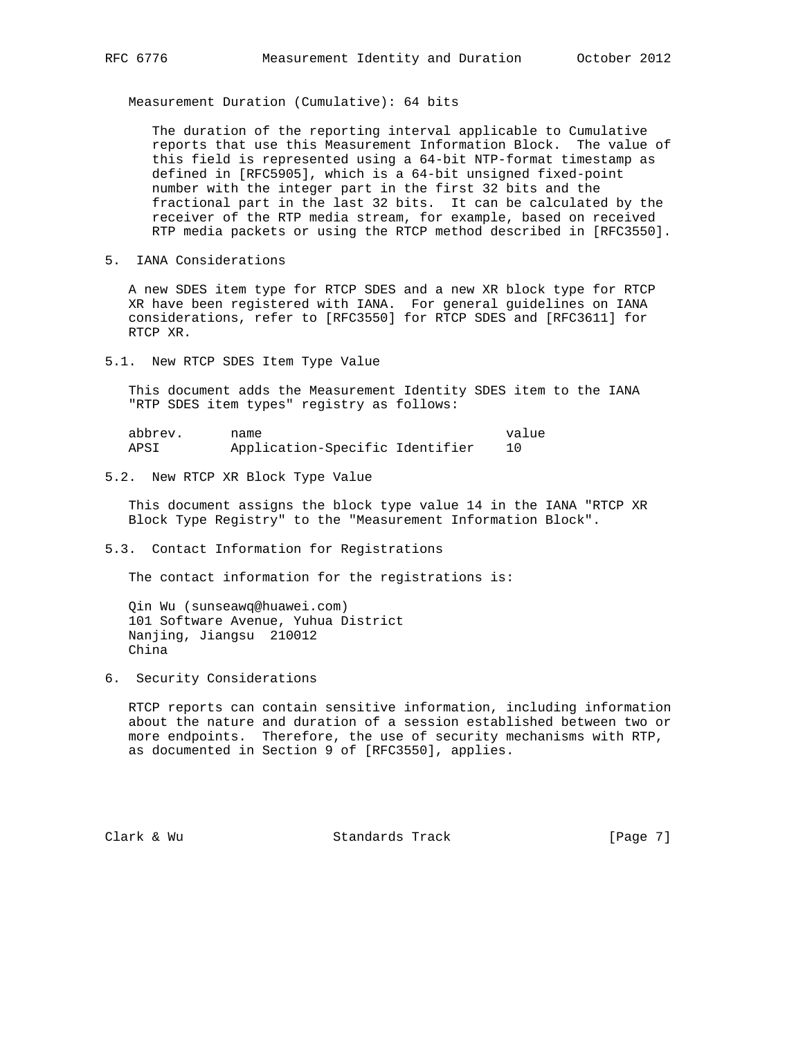Measurement Duration (Cumulative): 64 bits

 The duration of the reporting interval applicable to Cumulative reports that use this Measurement Information Block. The value of this field is represented using a 64-bit NTP-format timestamp as defined in [RFC5905], which is a 64-bit unsigned fixed-point number with the integer part in the first 32 bits and the fractional part in the last 32 bits. It can be calculated by the receiver of the RTP media stream, for example, based on received RTP media packets or using the RTCP method described in [RFC3550].

5. IANA Considerations

 A new SDES item type for RTCP SDES and a new XR block type for RTCP XR have been registered with IANA. For general guidelines on IANA considerations, refer to [RFC3550] for RTCP SDES and [RFC3611] for RTCP XR.

5.1. New RTCP SDES Item Type Value

 This document adds the Measurement Identity SDES item to the IANA "RTP SDES item types" registry as follows:

| abbrev. | name                            | value |
|---------|---------------------------------|-------|
| APSI    | Application-Specific Identifier |       |

5.2. New RTCP XR Block Type Value

 This document assigns the block type value 14 in the IANA "RTCP XR Block Type Registry" to the "Measurement Information Block".

5.3. Contact Information for Registrations

The contact information for the registrations is:

 Qin Wu (sunseawq@huawei.com) 101 Software Avenue, Yuhua District Nanjing, Jiangsu 210012 China

6. Security Considerations

 RTCP reports can contain sensitive information, including information about the nature and duration of a session established between two or more endpoints. Therefore, the use of security mechanisms with RTP, as documented in Section 9 of [RFC3550], applies.

Clark & Wu Standards Track [Page 7]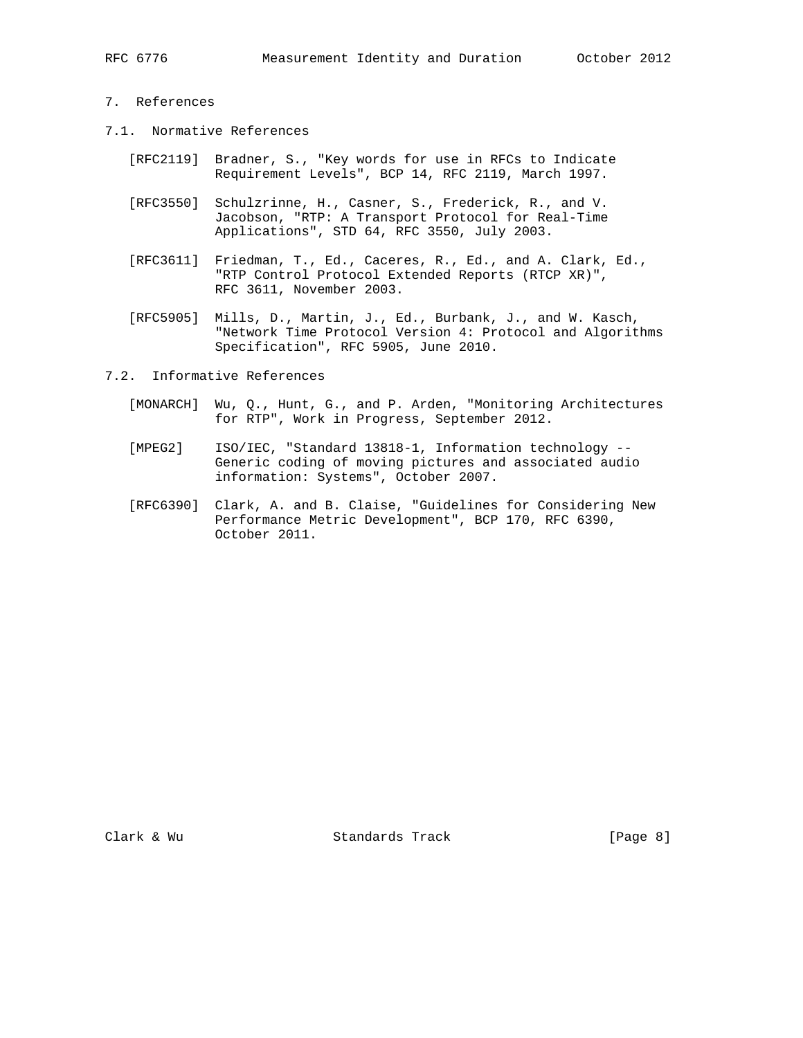## 7. References

- 7.1. Normative References
	- [RFC2119] Bradner, S., "Key words for use in RFCs to Indicate Requirement Levels", BCP 14, RFC 2119, March 1997.
	- [RFC3550] Schulzrinne, H., Casner, S., Frederick, R., and V. Jacobson, "RTP: A Transport Protocol for Real-Time Applications", STD 64, RFC 3550, July 2003.
	- [RFC3611] Friedman, T., Ed., Caceres, R., Ed., and A. Clark, Ed., "RTP Control Protocol Extended Reports (RTCP XR)", RFC 3611, November 2003.
	- [RFC5905] Mills, D., Martin, J., Ed., Burbank, J., and W. Kasch, "Network Time Protocol Version 4: Protocol and Algorithms Specification", RFC 5905, June 2010.
- 7.2. Informative References
	- [MONARCH] Wu, Q., Hunt, G., and P. Arden, "Monitoring Architectures for RTP", Work in Progress, September 2012.
	- [MPEG2] ISO/IEC, "Standard 13818-1, Information technology -- Generic coding of moving pictures and associated audio information: Systems", October 2007.
	- [RFC6390] Clark, A. and B. Claise, "Guidelines for Considering New Performance Metric Development", BCP 170, RFC 6390, October 2011.

Clark & Wu Standards Track [Page 8]